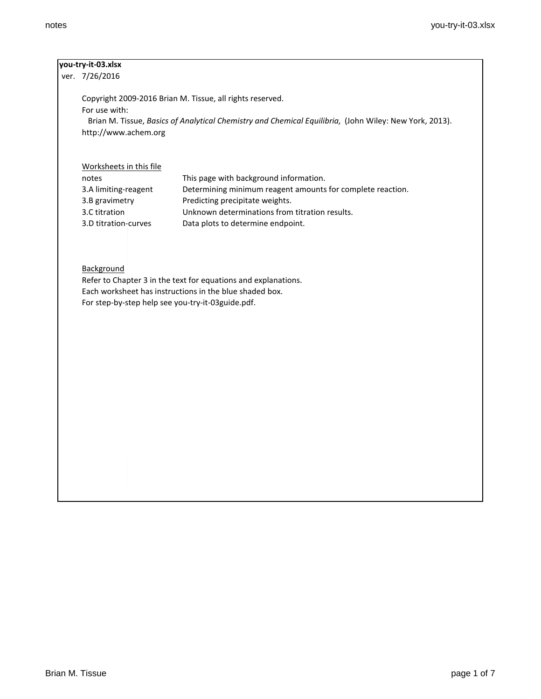| you-try-it-03.xlsx |
|--------------------|
|--------------------|

ver. 7/26/2016

Copyright 2009-2016 Brian M. Tissue, all rights reserved. For use with: Brian M. Tissue, *Basics of Analytical Chemistry and Chemical Equilibria,* (John Wiley: New York, 2013). http://www.achem.org

Worksheets in this file

| notes                | This page with background information.                     |
|----------------------|------------------------------------------------------------|
| 3.A limiting-reagent | Determining minimum reagent amounts for complete reaction. |
| 3.B gravimetry       | Predicting precipitate weights.                            |
| 3.C titration        | Unknown determinations from titration results.             |
| 3.D titration-curves | Data plots to determine endpoint.                          |

## **Background**

Refer to Chapter 3 in the text for equations and explanations. Each worksheet has instructions in the blue shaded box. For step-by-step help see you-try-it-03guide.pdf.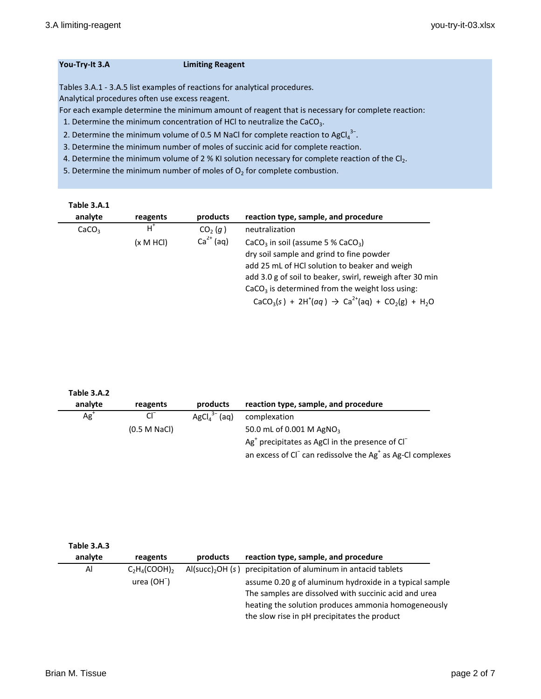### **You-Try-It 3.A Limiting Reagent**

Tables 3.A.1 - 3.A.5 list examples of reactions for analytical procedures.

Analytical procedures often use excess reagent.

For each example determine the minimum amount of reagent that is necessary for complete reaction:

1. Determine the minimum concentration of HCl to neutralize the CaCO<sub>3</sub>.

- 2. Determine the minimum volume of 0.5 M NaCl for complete reaction to AgCl $_4^{3-}$ .
- 3. Determine the minimum number of moles of succinic acid for complete reaction.
- 4. Determine the minimum volume of 2 % KI solution necessary for complete reaction of the  $Cl_2$ .

5. Determine the minimum number of moles of  $O<sub>2</sub>$  for complete combustion.

| Table 3.A.1       |           |                     |                                                           |
|-------------------|-----------|---------------------|-----------------------------------------------------------|
| analyte           | reagents  | products            | reaction type, sample, and procedure                      |
| CaCO <sub>3</sub> | $H^*$     | CO <sub>2</sub> (q) | neutralization                                            |
|                   | (x M HCl) | $Ca2+$ (aq)         | CaCO <sub>3</sub> in soil (assume 5 % CaCO <sub>3</sub> ) |
|                   |           |                     | dry soil sample and grind to fine powder                  |
|                   |           |                     | add 25 mL of HCI solution to beaker and weigh             |
|                   |           |                     | add 3.0 g of soil to beaker, swirl, reweigh after 30 min  |
|                   |           |                     | $CaCO3$ is determined from the weight loss using:         |
|                   |           |                     | $CaCO3(s) + 2H+(aq) \rightarrow Ca2+(aq) + CO2(g) + H2O$  |

| Table 3.A.2 |              |                              |                                                                                    |
|-------------|--------------|------------------------------|------------------------------------------------------------------------------------|
| analyte     | reagents     | products                     | reaction type, sample, and procedure                                               |
| $Ag+$       | $CI^{-}$     | $AgCl4$ <sup>3</sup><br>(aq) | complexation                                                                       |
|             | (0.5 M NaCl) |                              | 50.0 mL of 0.001 M AgNO <sub>3</sub>                                               |
|             |              |                              | $Ag+$ precipitates as AgCl in the presence of Cl <sup>-</sup>                      |
|             |              |                              | an excess of Cl <sup>-</sup> can redissolve the Ag <sup>+</sup> as Ag-Cl complexes |

| Table 3.A.3 |                  |          |                                                                                                                                                                                                                         |
|-------------|------------------|----------|-------------------------------------------------------------------------------------------------------------------------------------------------------------------------------------------------------------------------|
| analyte     | reagents         | products | reaction type, sample, and procedure                                                                                                                                                                                    |
| Al          | $C_2H_4(COOH)$ , |          | $AI(succ)$ , OH (s) precipitation of aluminum in antacid tablets                                                                                                                                                        |
|             | $urea (OH-)$     |          | assume 0.20 g of aluminum hydroxide in a typical sample<br>The samples are dissolved with succinic acid and urea<br>heating the solution produces ammonia homogeneously<br>the slow rise in pH precipitates the product |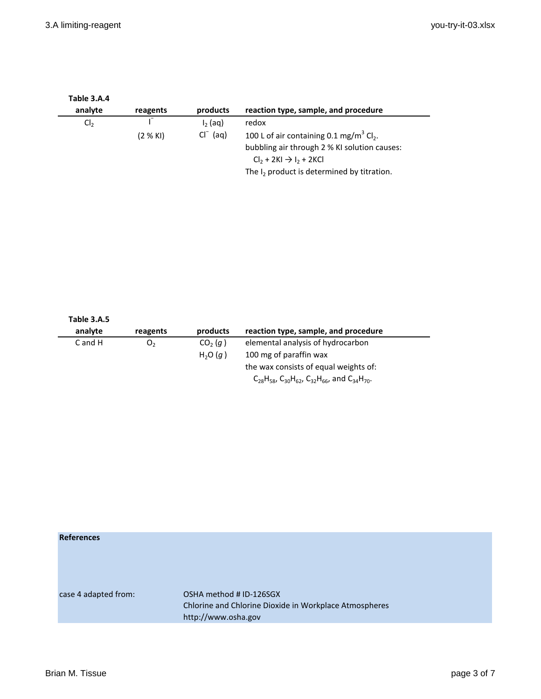| Table 3.A.4<br>analyte | reagents | products           | reaction type, sample, and procedure                                                                                                                   |
|------------------------|----------|--------------------|--------------------------------------------------------------------------------------------------------------------------------------------------------|
| Cl <sub>2</sub>        |          | $I2$ (ag)          | redox                                                                                                                                                  |
|                        | (2 % KI) | $\int$ (aq)<br>CI. | 100 L of air containing 0.1 mg/m <sup>3</sup> Cl <sub>2</sub> .<br>bubbling air through 2 % KI solution causes:<br>$Cl_2 + 2KI \rightarrow I_2 + 2KCl$ |
|                        |          |                    | The $I_2$ product is determined by titration.                                                                                                          |

| Table 3.A.5<br>analyte | reagents       | products                                   | reaction type, sample, and procedure                                                                             |
|------------------------|----------------|--------------------------------------------|------------------------------------------------------------------------------------------------------------------|
| $C$ and $H$            | O <sub>2</sub> | CO <sub>2</sub> (q)<br>H <sub>2</sub> O(q) | elemental analysis of hydrocarbon<br>100 mg of paraffin wax                                                      |
|                        |                |                                            | the wax consists of equal weights of:<br>$C_{28}H_{58}$ , $C_{30}H_{62}$ , $C_{32}H_{66}$ , and $C_{34}H_{70}$ . |

| <b>References</b>    |                                                        |
|----------------------|--------------------------------------------------------|
|                      |                                                        |
|                      |                                                        |
|                      |                                                        |
|                      |                                                        |
| case 4 adapted from: | OSHA method # ID-126SGX                                |
|                      | Chlorine and Chlorine Dioxide in Workplace Atmospheres |
|                      | http://www.osha.gov                                    |
|                      |                                                        |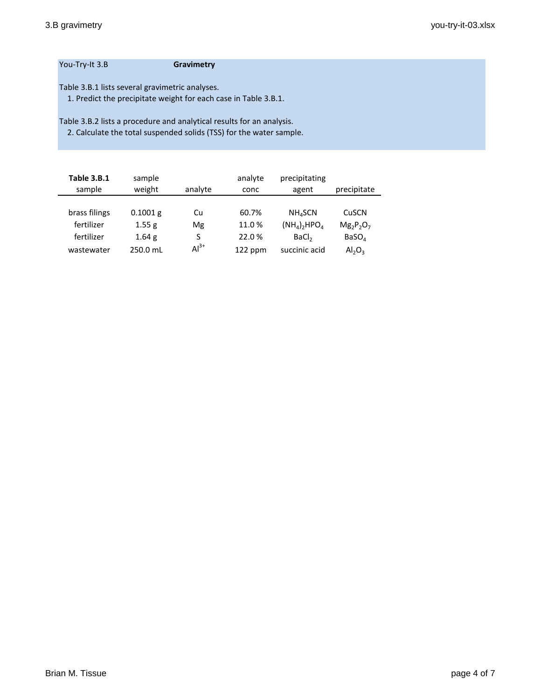### You-Try-It 3.B **Gravimetry**

Table 3.B.1 lists several gravimetric analyses.

1. Predict the precipitate weight for each case in Table 3.B.1.

Table 3.B.2 lists a procedure and analytical results for an analysis.

2. Calculate the total suspended solids (TSS) for the water sample.

| <b>Table 3.B.1</b><br>sample | sample<br>weight  | analyte | analyte<br>conc | precipitating<br>agent                 | precipitate       |
|------------------------------|-------------------|---------|-----------------|----------------------------------------|-------------------|
|                              |                   |         |                 |                                        |                   |
| brass filings                | $0.1001$ g        | Cu      | 60.7%           | <b>NH<sub>4</sub>SCN</b>               | CuSCN             |
| fertilizer                   | 1.55 g            | Mg      | 11.0%           | $(NH_4)$ <sub>2</sub> HPO <sub>4</sub> | $Mg_2P_2O_7$      |
| fertilizer                   | 1.64 <sub>g</sub> | S       | 22.0%           | BaCl <sub>2</sub>                      | BaSO <sub>A</sub> |
| wastewater                   | 250.0 mL          | $Al3+$  | 122 ppm         | succinic acid                          | $Al_2O_3$         |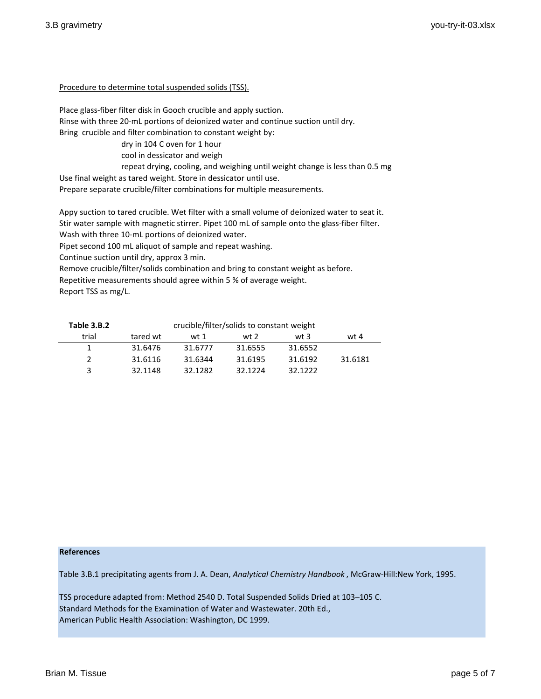### Procedure to determine total suspended solids (TSS).

Place glass-fiber filter disk in Gooch crucible and apply suction. Rinse with three 20-mL portions of deionized water and continue suction until dry. Bring crucible and filter combination to constant weight by:

> dry in 104 C oven for 1 hour cool in dessicator and weigh

repeat drying, cooling, and weighing until weight change is less than 0.5 mg

Use final weight as tared weight. Store in dessicator until use.

Prepare separate crucible/filter combinations for multiple measurements.

Appy suction to tared crucible. Wet filter with a small volume of deionized water to seat it. Stir water sample with magnetic stirrer. Pipet 100 mL of sample onto the glass-fiber filter. Wash with three 10-mL portions of deionized water.

Pipet second 100 mL aliquot of sample and repeat washing.

Continue suction until dry, approx 3 min.

Remove crucible/filter/solids combination and bring to constant weight as before.

Repetitive measurements should agree within 5 % of average weight.

Report TSS as mg/L.

| Table 3.B.2 | crucible/filter/solids to constant weight |         |         |         |         |
|-------------|-------------------------------------------|---------|---------|---------|---------|
| trial       | tared wt                                  | wt 1    | wt 2    | wt $3$  | wt 4    |
|             | 31.6476                                   | 31.6777 | 31.6555 | 31.6552 |         |
|             | 31.6116                                   | 31.6344 | 31.6195 | 31.6192 | 31.6181 |
| 2           | 32.1148                                   | 32.1282 | 32.1224 | 32.1222 |         |

#### **References**

Table 3.B.1 precipitating agents from J. A. Dean, *Analytical Chemistry Handbook* , McGraw-Hill:New York, 1995.

TSS procedure adapted from: Method 2540 D. Total Suspended Solids Dried at 103–105 C. Standard Methods for the Examination of Water and Wastewater. 20th Ed., American Public Health Association: Washington, DC 1999.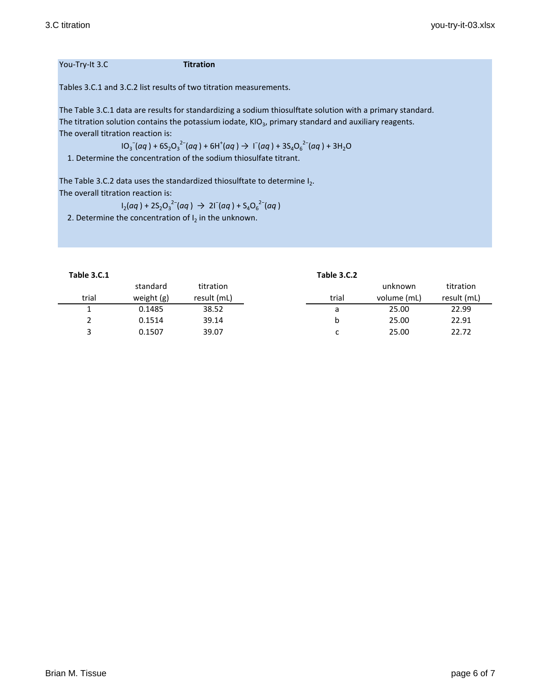#### You-Try-It 3.C

Tables 3.C.1 and 3.C.2 list results of two titration measurements.

The Table 3.C.1 data are results for standardizing a sodium thiosulftate solution with a primary standard. The titration solution contains the potassium iodate,  $KIO<sub>3</sub>$ , primary standard and auxiliary reagents. The overall titration reaction is:

 $10_3^-$ (*aq*) +  $6S_2O_3^{-2-}$ (*aq*) +  $6H^+(aq) \rightarrow 1^-$ (*aq*) +  $3S_4O_6^{-2-}$ (*aq*) +  $3H_2O$ 

1. Determine the concentration of the sodium thiosulfate titrant.

The Table 3.C.2 data uses the standardized thiosulftate to determine  $I_2$ . The overall titration reaction is:

$$
I_2(aq) + 2S_2O_3^{2-}(aq) \rightarrow 2I^-(aq) + S_4O_6^{2-}(aq)
$$

2. Determine the concentration of  $I_2$  in the unknown.

**Table 3.C.1 Table 3.C.2**

|       | standard   | titration   |       | unknown     | titration   |
|-------|------------|-------------|-------|-------------|-------------|
| trial | weight (g) | result (mL) | trial | volume (mL) | result (mL) |
|       | 0.1485     | 38.52       | а     | 25.00       | 22.99       |
|       | 0.1514     | 39.14       |       | 25.00       | 22.91       |
|       | 0.1507     | 39.07       | ◡     | 25.00       | 22.72       |